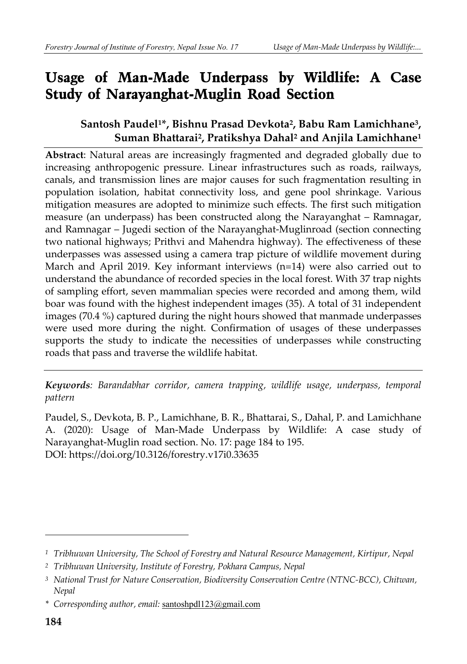# **Usage of Man-Made Underpass by Wildlife: A Case Study of Narayanghat-Muglin Road Section**

### **Santosh Paudel1\*, Bishnu Prasad Devkota2, Babu Ram Lamichhane3, Suman Bhattarai2, Pratikshya Dahal2 and Anjila Lamichhane1**

**Abstract**: Natural areas are increasingly fragmented and degraded globally due to increasing anthropogenic pressure. Linear infrastructures such as roads, railways, canals, and transmission lines are major causes for such fragmentation resulting in population isolation, habitat connectivity loss, and gene pool shrinkage. Various mitigation measures are adopted to minimize such effects. The first such mitigation measure (an underpass) has been constructed along the Narayanghat – Ramnagar, and Ramnagar – Jugedi section of the Narayanghat-Muglinroad (section connecting two national highways; Prithvi and Mahendra highway). The effectiveness of these underpasses was assessed using a camera trap picture of wildlife movement during March and April 2019. Key informant interviews (n=14) were also carried out to understand the abundance of recorded species in the local forest. With 37 trap nights of sampling effort, seven mammalian species were recorded and among them, wild boar was found with the highest independent images (35). A total of 31 independent images (70.4 %) captured during the night hours showed that manmade underpasses were used more during the night. Confirmation of usages of these underpasses supports the study to indicate the necessities of underpasses while constructing roads that pass and traverse the wildlife habitat.

*Keywords: Barandabhar corridor, camera trapping, wildlife usage, underpass, temporal pattern* 

Paudel, S., Devkota, B. P., Lamichhane, B. R., Bhattarai, S., Dahal, P. and Lamichhane A. (2020): Usage of Man-Made Underpass by Wildlife: A case study of Narayanghat-Muglin road section. No. 17: page 184 to 195. DOI: https://doi.org/10.3126/forestry.v17i0.33635

*<sup>1</sup> Tribhuwan University, The School of Forestry and Natural Resource Management, Kirtipur, Nepal* 

*<sup>2</sup> Tribhuwan University, Institute of Forestry, Pokhara Campus, Nepal* 

*<sup>3</sup> National Trust for Nature Conservation, Biodiversity Conservation Centre (NTNC-BCC), Chitwan, Nepal* 

*<sup>\*</sup> Corresponding author, email:* santoshpdl123@gmail.com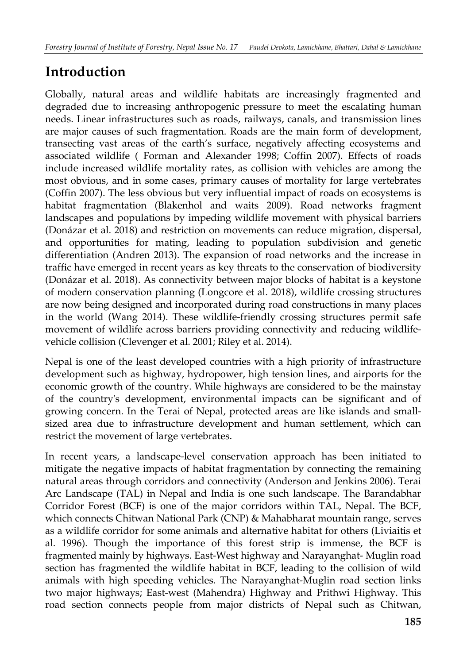# **Introduction**

Globally, natural areas and wildlife habitats are increasingly fragmented and degraded due to increasing anthropogenic pressure to meet the escalating human needs. Linear infrastructures such as roads, railways, canals, and transmission lines are major causes of such fragmentation. Roads are the main form of development, transecting vast areas of the earth's surface, negatively affecting ecosystems and associated wildlife ( Forman and Alexander 1998; Coffin 2007). Effects of roads include increased wildlife mortality rates, as collision with vehicles are among the most obvious, and in some cases, primary causes of mortality for large vertebrates (Coffin 2007). The less obvious but very influential impact of roads on ecosystems is habitat fragmentation (Blakenhol and waits 2009). Road networks fragment landscapes and populations by impeding wildlife movement with physical barriers (Donázar et al. 2018) and restriction on movements can reduce migration, dispersal, and opportunities for mating, leading to population subdivision and genetic differentiation (Andren 2013). The expansion of road networks and the increase in traffic have emerged in recent years as key threats to the conservation of biodiversity (Donázar et al. 2018). As connectivity between major blocks of habitat is a keystone of modern conservation planning (Longcore et al. 2018), wildlife crossing structures are now being designed and incorporated during road constructions in many places in the world (Wang 2014). These wildlife-friendly crossing structures permit safe movement of wildlife across barriers providing connectivity and reducing wildlifevehicle collision (Clevenger et al. 2001; Riley et al. 2014).

Nepal is one of the least developed countries with a high priority of infrastructure development such as highway, hydropower, high tension lines, and airports for the economic growth of the country. While highways are considered to be the mainstay of the country's development, environmental impacts can be significant and of growing concern. In the Terai of Nepal, protected areas are like islands and smallsized area due to infrastructure development and human settlement, which can restrict the movement of large vertebrates.

In recent years, a landscape-level conservation approach has been initiated to mitigate the negative impacts of habitat fragmentation by connecting the remaining natural areas through corridors and connectivity (Anderson and Jenkins 2006). Terai Arc Landscape (TAL) in Nepal and India is one such landscape. The Barandabhar Corridor Forest (BCF) is one of the major corridors within TAL, Nepal. The BCF, which connects Chitwan National Park (CNP) & Mahabharat mountain range, serves as a wildlife corridor for some animals and alternative habitat for others (Liviaitis et al. 1996). Though the importance of this forest strip is immense, the BCF is fragmented mainly by highways. East-West highway and Narayanghat- Muglin road section has fragmented the wildlife habitat in BCF, leading to the collision of wild animals with high speeding vehicles. The Narayanghat-Muglin road section links two major highways; East-west (Mahendra) Highway and Prithwi Highway. This road section connects people from major districts of Nepal such as Chitwan,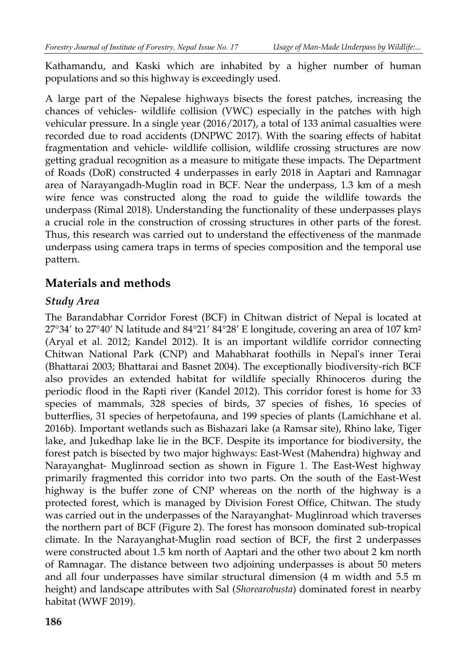Kathamandu, and Kaski which are inhabited by a higher number of human populations and so this highway is exceedingly used.

A large part of the Nepalese highways bisects the forest patches, increasing the chances of vehicles- wildlife collision (VWC) especially in the patches with high vehicular pressure. In a single year (2016/2017), a total of 133 animal casualties were recorded due to road accidents (DNPWC 2017). With the soaring effects of habitat fragmentation and vehicle- wildlife collision, wildlife crossing structures are now getting gradual recognition as a measure to mitigate these impacts. The Department of Roads (DoR) constructed 4 underpasses in early 2018 in Aaptari and Ramnagar area of Narayangadh-Muglin road in BCF. Near the underpass, 1.3 km of a mesh wire fence was constructed along the road to guide the wildlife towards the underpass (Rimal 2018). Understanding the functionality of these underpasses plays a crucial role in the construction of crossing structures in other parts of the forest. Thus, this research was carried out to understand the effectiveness of the manmade underpass using camera traps in terms of species composition and the temporal use pattern.

## **Materials and methods**

#### *Study Area*

The Barandabhar Corridor Forest (BCF) in Chitwan district of Nepal is located at  $27^{\circ}34'$  to  $27^{\circ}40'$  N latitude and  $84^{\circ}21'$   $84^{\circ}28'$  E longitude, covering an area of 107 km<sup>2</sup> (Aryal et al. 2012; Kandel 2012). It is an important wildlife corridor connecting Chitwan National Park (CNP) and Mahabharat foothills in Nepal's inner Terai (Bhattarai 2003; Bhattarai and Basnet 2004). The exceptionally biodiversity-rich BCF also provides an extended habitat for wildlife specially Rhinoceros during the periodic flood in the Rapti river (Kandel 2012). This corridor forest is home for 33 species of mammals, 328 species of birds, 37 species of fishes, 16 species of butterflies, 31 species of herpetofauna, and 199 species of plants (Lamichhane et al. 2016b). Important wetlands such as Bishazari lake (a Ramsar site), Rhino lake, Tiger lake, and Jukedhap lake lie in the BCF. Despite its importance for biodiversity, the forest patch is bisected by two major highways: East-West (Mahendra) highway and Narayanghat- Muglinroad section as shown in Figure 1. The East-West highway primarily fragmented this corridor into two parts. On the south of the East-West highway is the buffer zone of CNP whereas on the north of the highway is a protected forest, which is managed by Division Forest Office, Chitwan. The study was carried out in the underpasses of the Narayanghat- Muglinroad which traverses the northern part of BCF (Figure 2). The forest has monsoon dominated sub-tropical climate. In the Narayanghat-Muglin road section of BCF, the first 2 underpasses were constructed about 1.5 km north of Aaptari and the other two about 2 km north of Ramnagar. The distance between two adjoining underpasses is about 50 meters and all four underpasses have similar structural dimension (4 m width and 5.5 m height) and landscape attributes with Sal (*Shorearobusta*) dominated forest in nearby habitat (WWF 2019).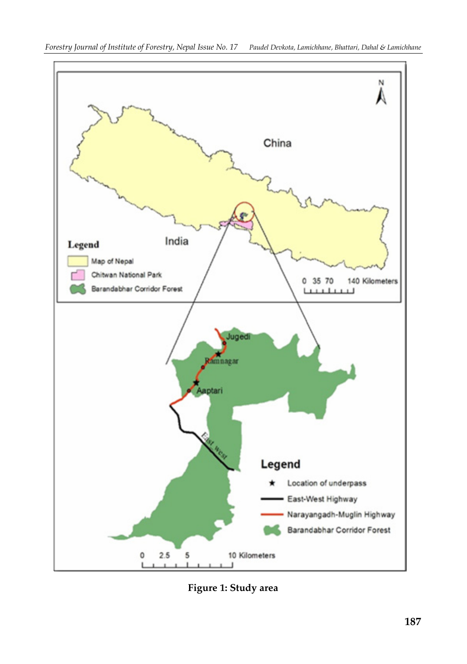

**Figure 1: Study area**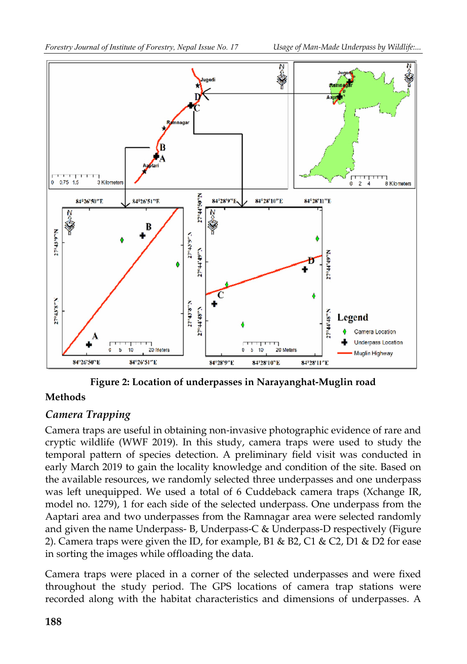

**Figure 2: Location of underpasses in Narayanghat-Muglin road** 

#### **Methods**

#### *Camera Trapping*

Camera traps are useful in obtaining non-invasive photographic evidence of rare and cryptic wildlife (WWF 2019). In this study, camera traps were used to study the temporal pattern of species detection. A preliminary field visit was conducted in early March 2019 to gain the locality knowledge and condition of the site. Based on the available resources, we randomly selected three underpasses and one underpass was left unequipped. We used a total of 6 Cuddeback camera traps (Xchange IR, model no. 1279), 1 for each side of the selected underpass. One underpass from the Aaptari area and two underpasses from the Ramnagar area were selected randomly and given the name Underpass- B, Underpass-C & Underpass-D respectively (Figure 2). Camera traps were given the ID, for example, B1 & B2, C1 & C2, D1 & D2 for ease in sorting the images while offloading the data.

Camera traps were placed in a corner of the selected underpasses and were fixed throughout the study period. The GPS locations of camera trap stations were recorded along with the habitat characteristics and dimensions of underpasses. A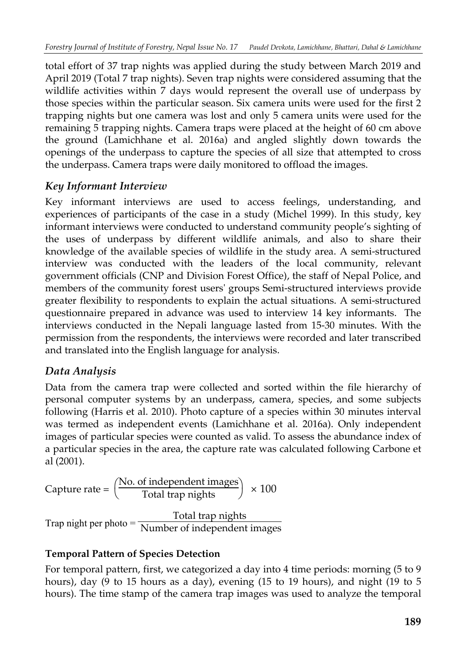total effort of 37 trap nights was applied during the study between March 2019 and April 2019 (Total 7 trap nights). Seven trap nights were considered assuming that the wildlife activities within 7 days would represent the overall use of underpass by those species within the particular season. Six camera units were used for the first 2 trapping nights but one camera was lost and only 5 camera units were used for the remaining 5 trapping nights. Camera traps were placed at the height of 60 cm above the ground (Lamichhane et al. 2016a) and angled slightly down towards the openings of the underpass to capture the species of all size that attempted to cross the underpass. Camera traps were daily monitored to offload the images.

## *Key Informant Interview*

Key informant interviews are used to access feelings, understanding, and experiences of participants of the case in a study (Michel 1999). In this study, key informant interviews were conducted to understand community people's sighting of the uses of underpass by different wildlife animals, and also to share their knowledge of the available species of wildlife in the study area. A semi-structured interview was conducted with the leaders of the local community, relevant government officials (CNP and Division Forest Office), the staff of Nepal Police, and members of the community forest users' groups Semi-structured interviews provide greater flexibility to respondents to explain the actual situations. A semi-structured questionnaire prepared in advance was used to interview 14 key informants. The interviews conducted in the Nepali language lasted from 15-30 minutes. With the permission from the respondents, the interviews were recorded and later transcribed and translated into the English language for analysis.

### *Data Analysis*

Data from the camera trap were collected and sorted within the file hierarchy of personal computer systems by an underpass, camera, species, and some subjects following (Harris et al. 2010). Photo capture of a species within 30 minutes interval was termed as independent events (Lamichhane et al. 2016a). Only independent images of particular species were counted as valid. To assess the abundance index of a particular species in the area, the capture rate was calculated following Carbone et al (2001).

Capture rate = 
$$
\left(\frac{\text{No. of independent images}}{\text{Total trap nights}}\right) \times 100
$$

\nTrap night per photo =  $\frac{\text{Total trap nights}}{\text{Number of independent images}}$ 

### **Temporal Pattern of Species Detection**

For temporal pattern, first, we categorized a day into 4 time periods: morning (5 to 9 hours), day (9 to 15 hours as a day), evening (15 to 19 hours), and night (19 to 5 hours). The time stamp of the camera trap images was used to analyze the temporal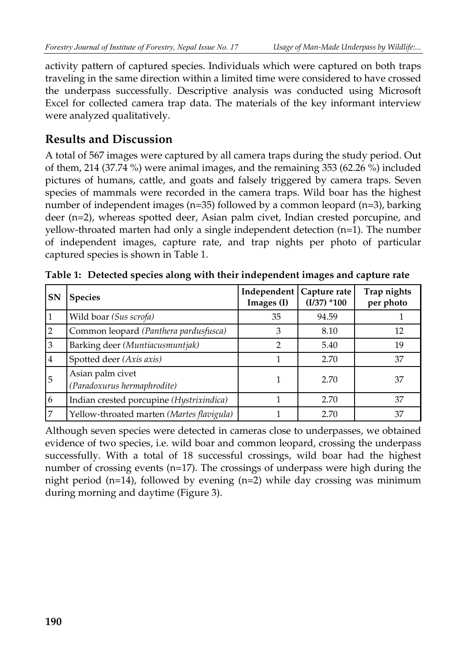activity pattern of captured species. Individuals which were captured on both traps traveling in the same direction within a limited time were considered to have crossed the underpass successfully. Descriptive analysis was conducted using Microsoft Excel for collected camera trap data. The materials of the key informant interview were analyzed qualitatively.

## **Results and Discussion**

A total of 567 images were captured by all camera traps during the study period. Out of them, 214 (37.74 %) were animal images, and the remaining 353 (62.26 %) included pictures of humans, cattle, and goats and falsely triggered by camera traps. Seven species of mammals were recorded in the camera traps. Wild boar has the highest number of independent images (n=35) followed by a common leopard (n=3), barking deer (n=2), whereas spotted deer, Asian palm civet, Indian crested porcupine, and yellow-throated marten had only a single independent detection (n=1). The number of independent images, capture rate, and trap nights per photo of particular captured species is shown in Table 1.

| <b>SN</b>      | <b>Species</b>                                  | Independent<br>Images (I) | Capture rate<br>$(I/37)$ *100 | Trap nights<br>per photo |
|----------------|-------------------------------------------------|---------------------------|-------------------------------|--------------------------|
| 1              | Wild boar (Sus scrofa)                          | 35                        | 94.59                         |                          |
| $\overline{2}$ | Common leopard (Panthera pardusfusca)           | 3                         | 8.10                          | 12                       |
| 3              | Barking deer (Muntiacusmuntjak)                 | っ                         | 5.40                          | 19                       |
| 4              | Spotted deer (Axis axis)                        |                           | 2.70                          | 37                       |
| 5              | Asian palm civet<br>(Paradoxurus hermaphrodite) |                           | 2.70                          | 37                       |
| 6              | Indian crested porcupine (Hystrixindica)        |                           | 2.70                          | 37                       |
| 7              | Yellow-throated marten (Martes flavigula)       |                           | 2.70                          | 37                       |

**Table 1: Detected species along with their independent images and capture rate** 

Although seven species were detected in cameras close to underpasses, we obtained evidence of two species, i.e. wild boar and common leopard, crossing the underpass successfully. With a total of 18 successful crossings, wild boar had the highest number of crossing events (n=17). The crossings of underpass were high during the night period (n=14), followed by evening (n=2) while day crossing was minimum during morning and daytime (Figure 3).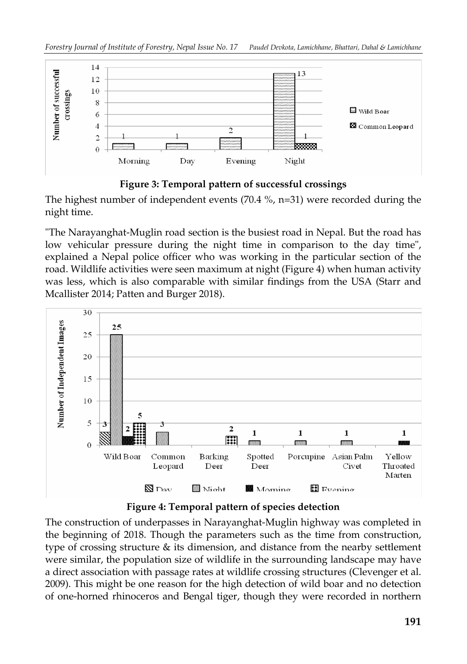

#### **Figure 3: Temporal pattern of successful crossings**

The highest number of independent events (70.4 %, n=31) were recorded during the night time.

"The Narayanghat-Muglin road section is the busiest road in Nepal. But the road has low vehicular pressure during the night time in comparison to the day time", explained a Nepal police officer who was working in the particular section of the road. Wildlife activities were seen maximum at night (Figure 4) when human activity was less, which is also comparable with similar findings from the USA (Starr and Mcallister 2014; Patten and Burger 2018).



#### **Figure 4: Temporal pattern of species detection**

The construction of underpasses in Narayanghat-Muglin highway was completed in the beginning of 2018. Though the parameters such as the time from construction, type of crossing structure & its dimension, and distance from the nearby settlement were similar, the population size of wildlife in the surrounding landscape may have a direct association with passage rates at wildlife crossing structures (Clevenger et al. 2009). This might be one reason for the high detection of wild boar and no detection of one-horned rhinoceros and Bengal tiger, though they were recorded in northern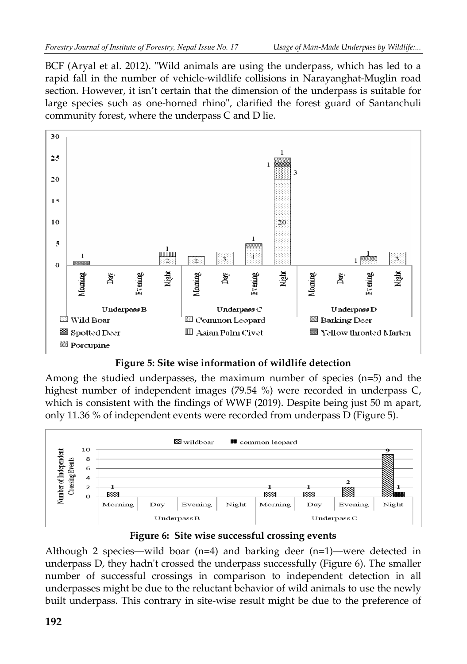BCF (Aryal et al. 2012). "Wild animals are using the underpass, which has led to a rapid fall in the number of vehicle-wildlife collisions in Narayanghat-Muglin road section. However, it isn't certain that the dimension of the underpass is suitable for large species such as one-horned rhino", clarified the forest guard of Santanchuli community forest, where the underpass C and D lie.



**Figure 5: Site wise information of wildlife detection**

Among the studied underpasses, the maximum number of species  $(n=5)$  and the highest number of independent images (79.54 %) were recorded in underpass C, which is consistent with the findings of WWF (2019). Despite being just 50 m apart, only 11.36 % of independent events were recorded from underpass D (Figure 5).



**Figure 6: Site wise successful crossing events**

Although 2 species—wild boar  $(n=4)$  and barking deer  $(n=1)$ —were detected in underpass D, they hadn't crossed the underpass successfully (Figure 6). The smaller number of successful crossings in comparison to independent detection in all underpasses might be due to the reluctant behavior of wild animals to use the newly built underpass. This contrary in site-wise result might be due to the preference of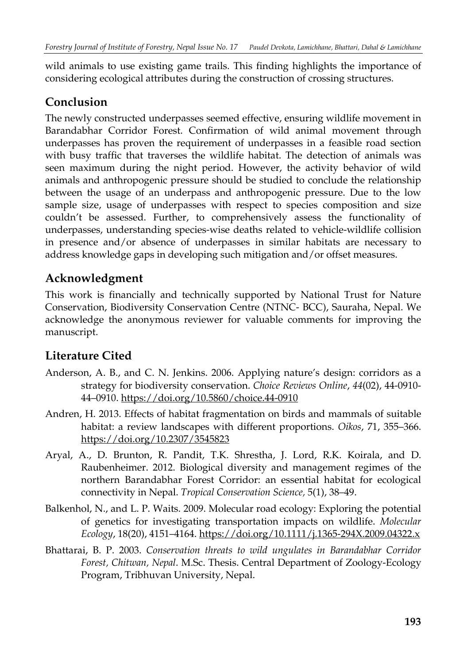wild animals to use existing game trails. This finding highlights the importance of considering ecological attributes during the construction of crossing structures.

# **Conclusion**

The newly constructed underpasses seemed effective, ensuring wildlife movement in Barandabhar Corridor Forest. Confirmation of wild animal movement through underpasses has proven the requirement of underpasses in a feasible road section with busy traffic that traverses the wildlife habitat. The detection of animals was seen maximum during the night period. However, the activity behavior of wild animals and anthropogenic pressure should be studied to conclude the relationship between the usage of an underpass and anthropogenic pressure. Due to the low sample size, usage of underpasses with respect to species composition and size couldn't be assessed. Further, to comprehensively assess the functionality of underpasses, understanding species-wise deaths related to vehicle-wildlife collision in presence and/or absence of underpasses in similar habitats are necessary to address knowledge gaps in developing such mitigation and/or offset measures.

# **Acknowledgment**

This work is financially and technically supported by National Trust for Nature Conservation, Biodiversity Conservation Centre (NTNC- BCC), Sauraha, Nepal. We acknowledge the anonymous reviewer for valuable comments for improving the manuscript.

# **Literature Cited**

- Anderson, A. B., and C. N. Jenkins. 2006. Applying nature's design: corridors as a strategy for biodiversity conservation. *Choice Reviews Online*, *44*(02), 44-0910- 44–0910. https://doi.org/10.5860/choice.44-0910
- Andren, H. 2013. Effects of habitat fragmentation on birds and mammals of suitable habitat: a review landscapes with different proportions. *Oikos*, 71, 355–366. https://doi.org/10.2307/3545823
- Aryal, A., D. Brunton, R. Pandit, T.K. Shrestha, J. Lord, R.K. Koirala, and D. Raubenheimer. 2012. Biological diversity and management regimes of the northern Barandabhar Forest Corridor: an essential habitat for ecological connectivity in Nepal. *Tropical Conservation Science,* 5(1), 38–49.
- Balkenhol, N., and L. P. Waits. 2009. Molecular road ecology: Exploring the potential of genetics for investigating transportation impacts on wildlife. *Molecular Ecology*, 18(20), 4151–4164. https://doi.org/10.1111/j.1365-294X.2009.04322.x
- Bhattarai, B. P. 2003. *Conservation threats to wild ungulates in Barandabhar Corridor Forest, Chitwan, Nepal*. M.Sc. Thesis. Central Department of Zoology-Ecology Program, Tribhuvan University, Nepal.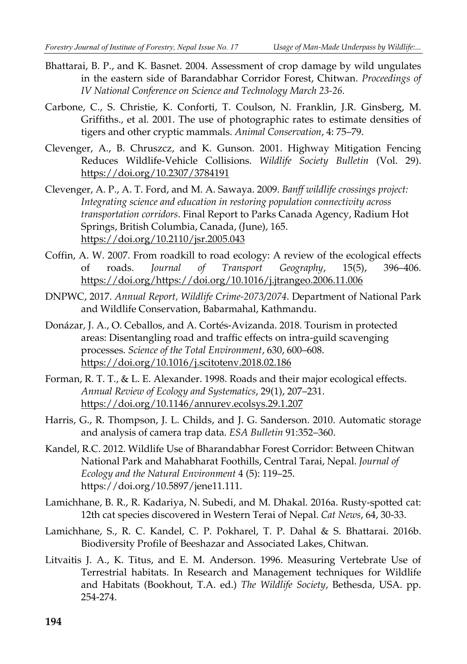- Bhattarai, B. P., and K. Basnet. 2004. Assessment of crop damage by wild ungulates in the eastern side of Barandabhar Corridor Forest, Chitwan. *Proceedings of IV National Conference on Science and Technology March 23-26.*
- Carbone, C., S. Christie, K. Conforti, T. Coulson, N. Franklin, J.R. Ginsberg, M. Griffiths., et al. 2001. The use of photographic rates to estimate densities of tigers and other cryptic mammals. *Animal Conservation*, 4: 75–79.
- Clevenger, A., B. Chruszcz, and K. Gunson. 2001. Highway Mitigation Fencing Reduces Wildlife-Vehicle Collisions. *Wildlife Society Bulletin* (Vol. 29). https://doi.org/10.2307/3784191
- Clevenger, A. P., A. T. Ford, and M. A. Sawaya. 2009. *Banff wildlife crossings project: Integrating science and education in restoring population connectivity across transportation corridors*. Final Report to Parks Canada Agency, Radium Hot Springs, British Columbia, Canada, (June), 165. https://doi.org/10.2110/jsr.2005.043
- Coffin, A. W. 2007. From roadkill to road ecology: A review of the ecological effects of roads. *Journal of Transport Geography*, 15(5), 396–406. https://doi.org/https://doi.org/10.1016/j.jtrangeo.2006.11.006
- DNPWC, 2017. *Annual Report, Wildlife Crime-2073/2074*. Department of National Park and Wildlife Conservation, Babarmahal, Kathmandu.
- Donázar, J. A., O. Ceballos, and A. Cortés-Avizanda. 2018. Tourism in protected areas: Disentangling road and traffic effects on intra-guild scavenging processes. *Science of the Total Environment*, 630, 600–608. https://doi.org/10.1016/j.scitotenv.2018.02.186
- Forman, R. T. T., & L. E. Alexander. 1998. Roads and their major ecological effects. *Annual Review of Ecology and Systematics*, 29(1), 207–231. https://doi.org/10.1146/annurev.ecolsys.29.1.207
- Harris, G., R. Thompson, J. L. Childs, and J. G. Sanderson. 2010. Automatic storage and analysis of camera trap data. *ESA Bulletin* 91:352–360.
- Kandel, R.C. 2012. Wildlife Use of Bharandabhar Forest Corridor: Between Chitwan National Park and Mahabharat Foothills, Central Tarai, Nepal. *Journal of Ecology and the Natural Environment* 4 (5): 119–25. https://doi.org/10.5897/jene11.111.
- Lamichhane, B. R., R. Kadariya, N. Subedi, and M. Dhakal. 2016a. Rusty-spotted cat: 12th cat species discovered in Western Terai of Nepal. *Cat News*, 64, 30-33.
- Lamichhane, S., R. C. Kandel, C. P. Pokharel, T. P. Dahal & S. Bhattarai. 2016b. Biodiversity Profile of Beeshazar and Associated Lakes, Chitwan.
- Litvaitis J. A., K. Titus, and E. M. Anderson. 1996. Measuring Vertebrate Use of Terrestrial habitats. In Research and Management techniques for Wildlife and Habitats (Bookhout, T.A. ed.) *The Wildlife Society*, Bethesda, USA. pp. 254-274.